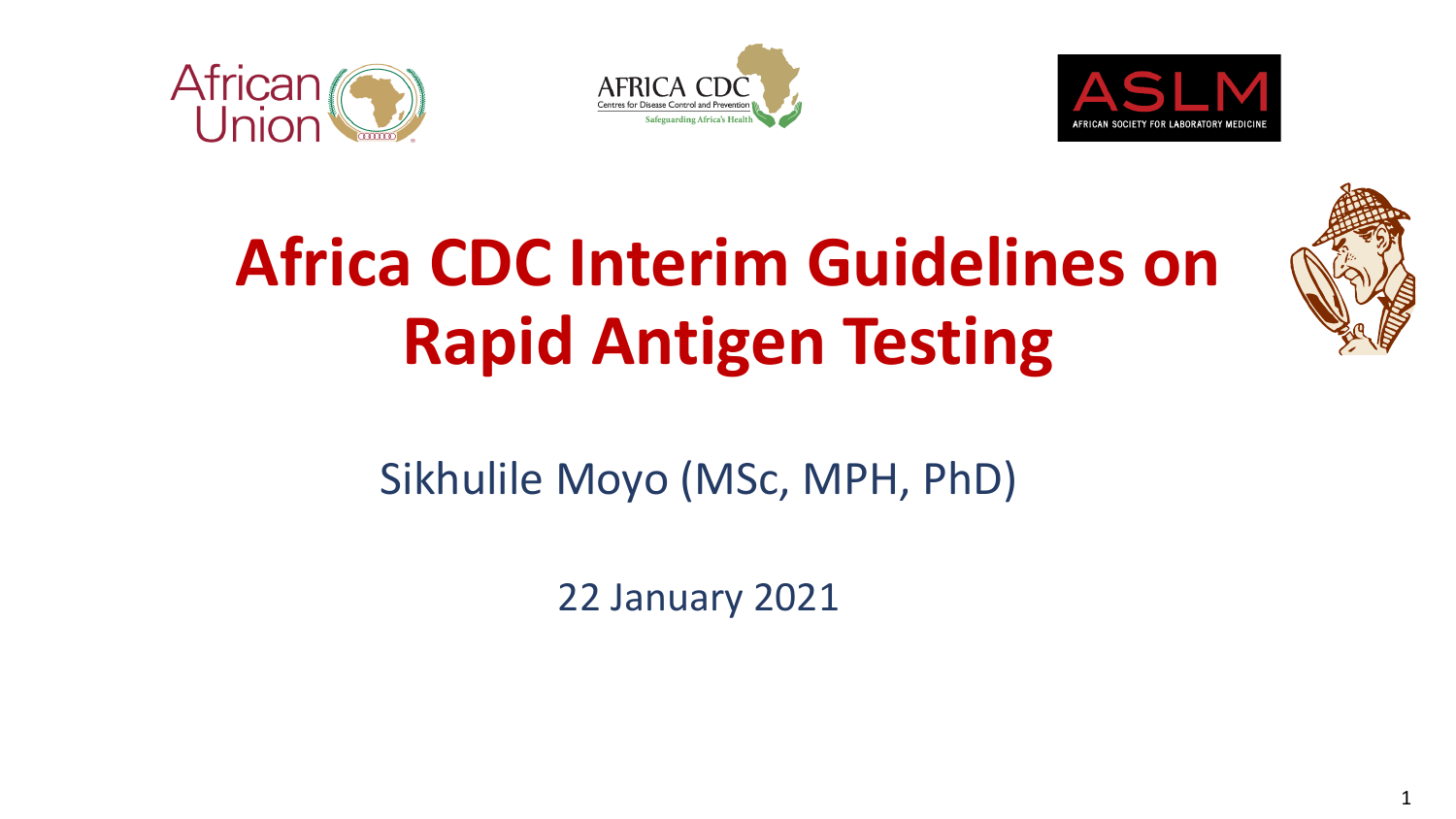







# **Africa CDC Interim Guidelines on Rapid Antigen Testing**

## Sikhulile Moyo (MSc, MPH, PhD)

22 January 2021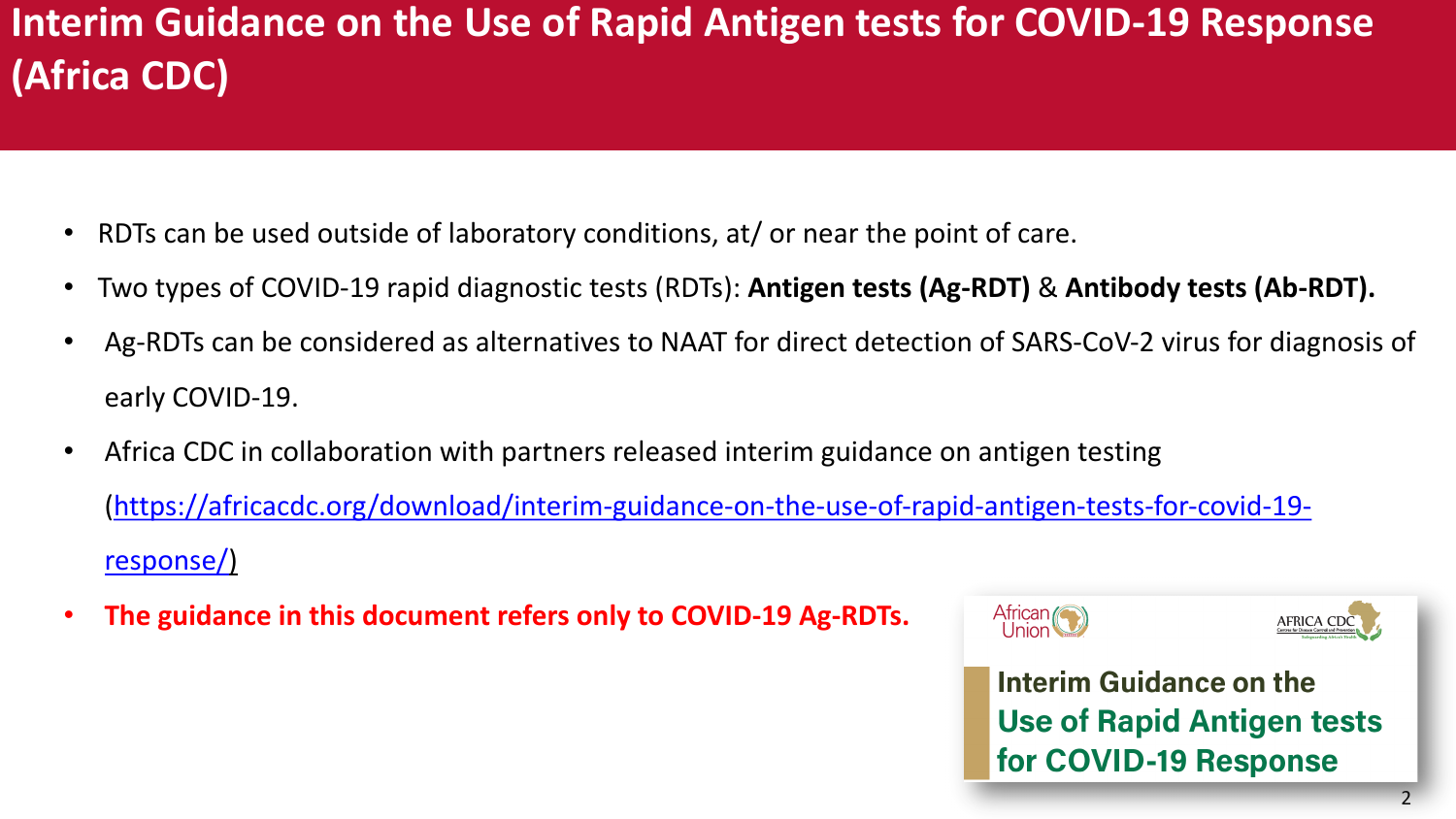## **Interim Guidance on the Use of Rapid Antigen test: (Africa CDC)**

- RDTs can be used outside of laboratory conditions, at/ or near the point
- Two types of COVID-19 rapid diagnostic tests (RDTs): Antigen tests (
- Ag-RDTs can be considered as alternatives to NAAT for direct detect early COVID-19.
- Africa CDC in collaboration with partners released interim guidance (https://africacdc.org/download/interim-guidance-on-the-use-of-ra response/)
- **The guidance in this document refers only to COVID-19 Ag-RDTs.**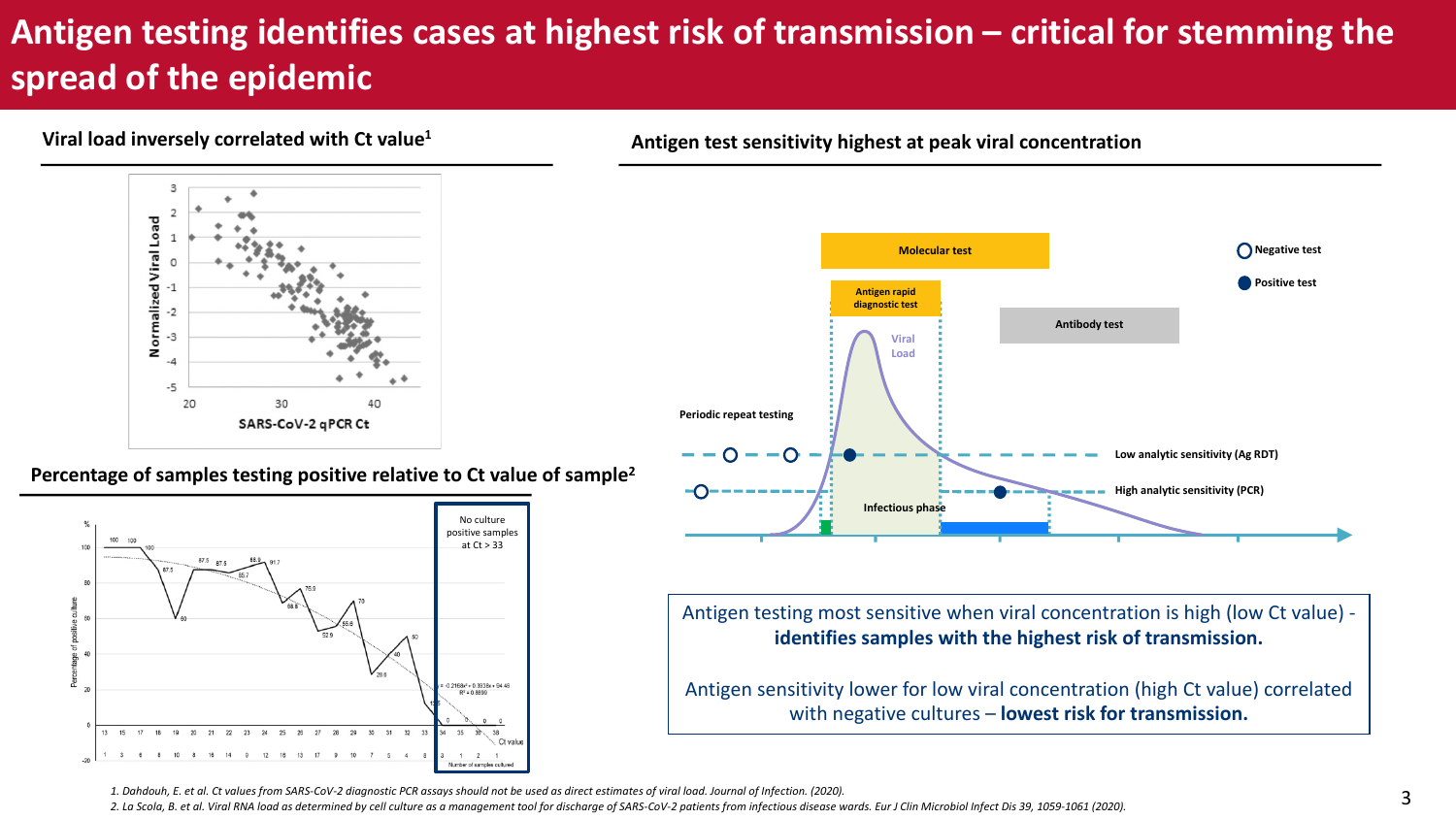### **Antigen testing identifies cases at highest risk of transmission – critical for stemming the spread of the epidemic**

#### **Viral load inversely correlated with Ct value1**



**Percentage of samples testing positive relative to Ct value of sample2**



**Antigen test sensitivity highest at peak viral concentration**



Antigen testing most sensitive when viral concentration is high (low Ct value) **identifies samples with the highest risk of transmission.** 

Antigen sensitivity lower for low viral concentration (high Ct value) correlated with negative cultures – **lowest risk for transmission.** 

*1. Dahdouh, E. et al. Ct values from SARS-CoV-2 diagnostic PCR assays should not be used as direct estimates of viral load. Journal of Infection. (2020).* 

*2. La Scola, B. et al. Viral RNA load as determined by cell culture as a management tool for discharge of SARS-CoV-2 patients from infectious disease wards. Eur J Clin Microbiol Infect Dis 39, 1059-1061 (2020).*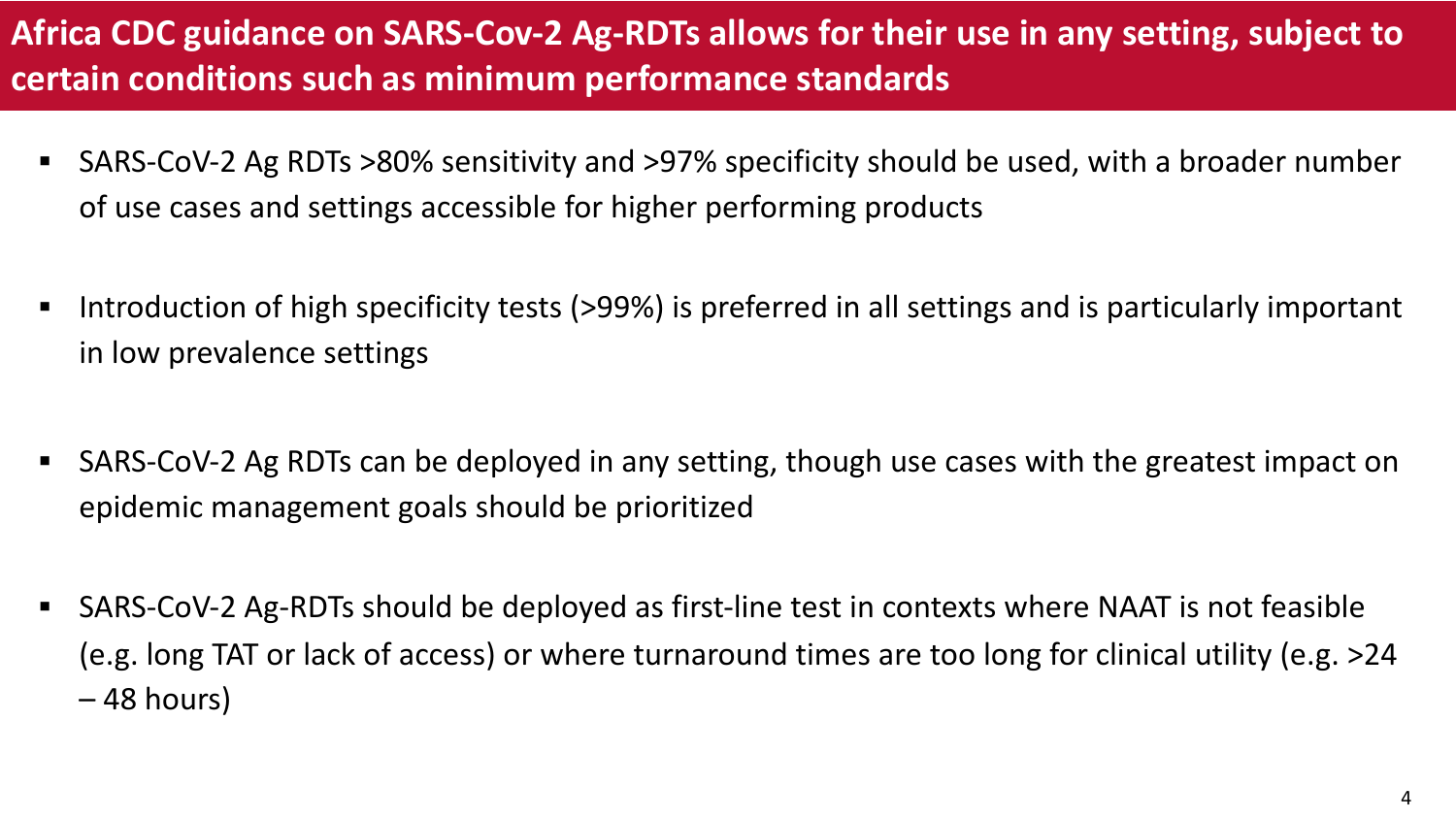### **Africa CDC guidance on SARS-Cov-2 Ag-RDTs allows for their use in any setting, subject to certain conditions such as minimum performance standards**

- SARS-CoV-2 Ag RDTs >80% sensitivity and >97% specificity should be used, with a broader number of use cases and settings accessible for higher performing products
- Introduction of high specificity tests (>99%) is preferred in all settings and is particularly important in low prevalence settings
- § SARS-CoV-2 Ag RDTs can be deployed in any setting, though use cases with the greatest impact on epidemic management goals should be prioritized
- § SARS-CoV-2 Ag-RDTs should be deployed as first-line test in contexts where NAAT is not feasible (e.g. long TAT or lack of access) or where turnaround times are too long for clinical utility (e.g. >24 – 48 hours)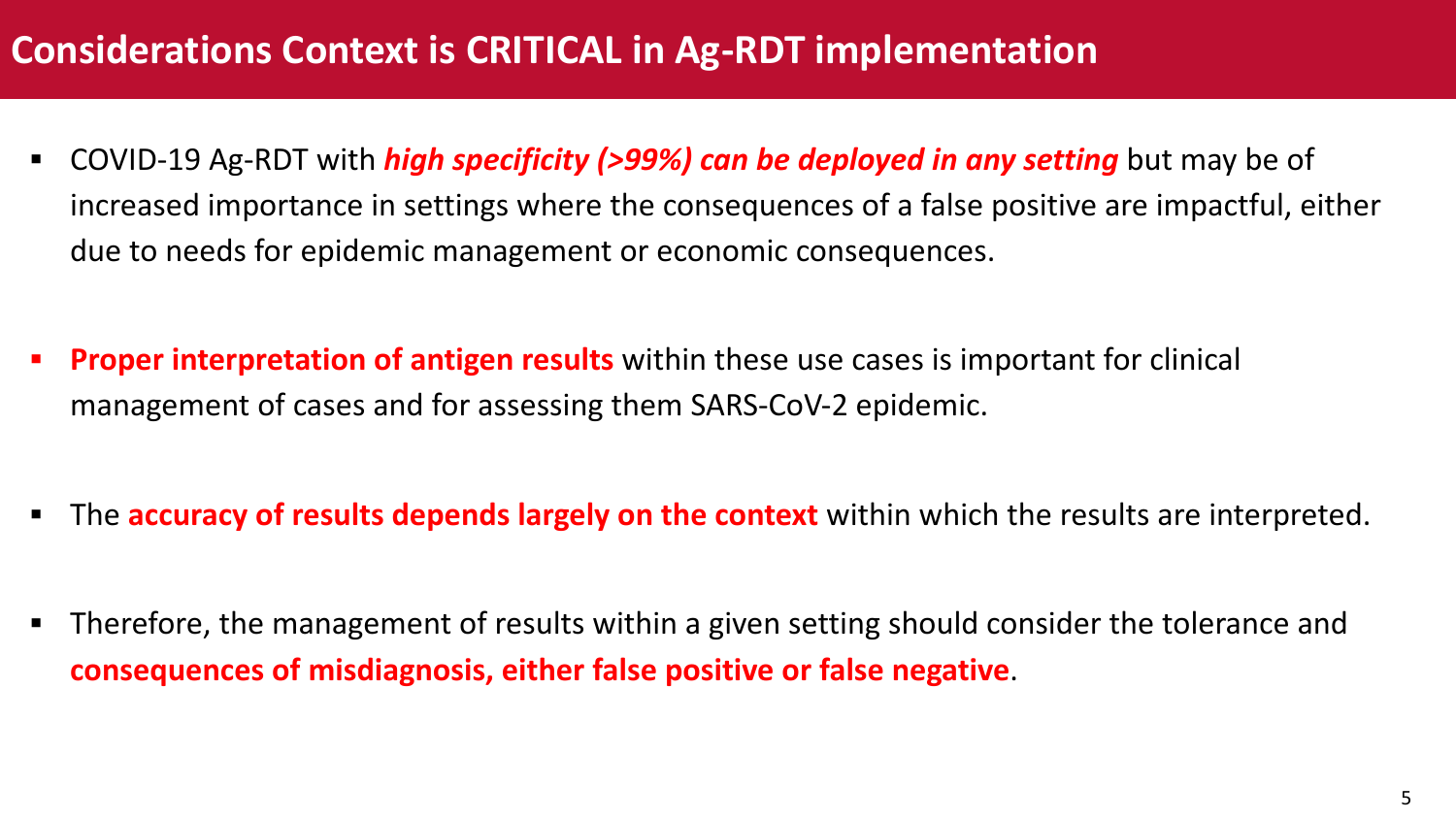### **Considerations Context is CRITICAL in Ag-RDT implementation**

- § COVID-19 Ag-RDT with *high specificity (>99%) can be deployed in any setting* but may be of increased importance in settings where the consequences of a false positive are impactful, either due to needs for epidemic management or economic consequences.
- **Proper interpretation of antigen results** within these use cases is important for clinical management of cases and for assessing them SARS-CoV-2 epidemic.
- **F** The **accuracy of results depends largely on the context** within which the results are interpreted.
- Therefore, the management of results within a given setting should consider the tolerance and **consequences of misdiagnosis, either false positive or false negative**.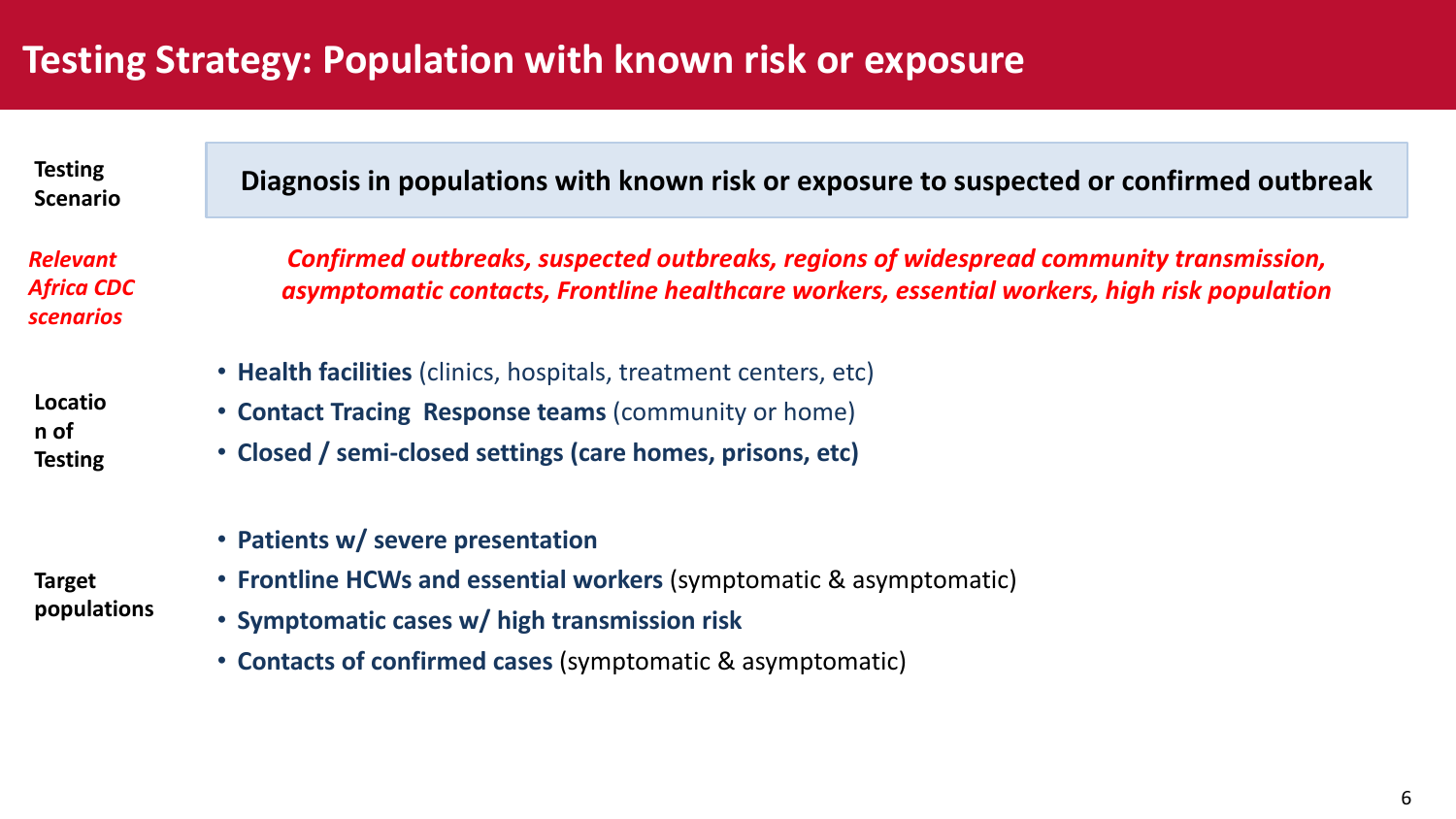### **Testing Strategy: Population with known risk or exposure**

**Scenario**

*Relevant Africa CDC scenarios*

**Locatio n of Testing**

**Target populations**

**Diagnosis in populations with known risk or exposure to suspected or confirmed outbreak Testing** 

*Confirmed outbreaks, suspected outbreaks, regions of widespread community transmission, asymptomatic contacts, Frontline healthcare workers, essential workers, high risk population*

• **Health facilities** (clinics, hospitals, treatment centers, etc)

- **Contact Tracing Response teams** (community or home)
- **Closed / semi-closed settings (care homes, prisons, etc)**
- **Patients w/ severe presentation**
- **Frontline HCWs and essential workers** (symptomatic & asymptomatic)
	- **Symptomatic cases w/ high transmission risk**
	- **Contacts of confirmed cases** (symptomatic & asymptomatic)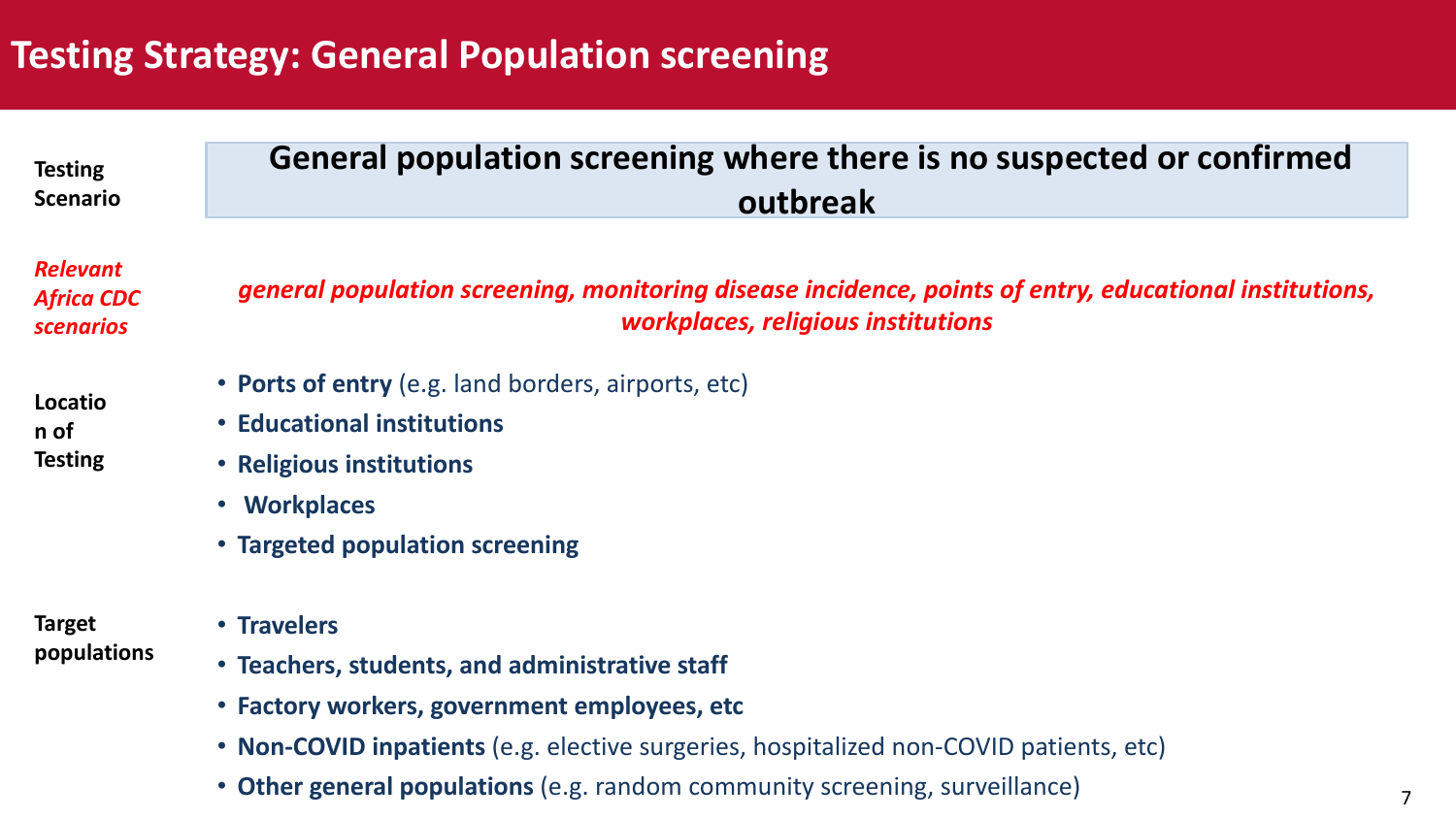### **Testing Strategy: General Population screening**

| <b>Testing</b><br><b>Scenario</b>                        | General population screening where there is no suspected or confirmed<br>outbreak                                                            |  |  |  |  |  |  |  |  |
|----------------------------------------------------------|----------------------------------------------------------------------------------------------------------------------------------------------|--|--|--|--|--|--|--|--|
| <b>Relevant</b><br><b>Africa CDC</b><br><b>scenarios</b> | general population screening, monitoring disease incidence, points of entry, educational institutions,<br>workplaces, religious institutions |  |  |  |  |  |  |  |  |
| Locatio<br>n of<br><b>Testing</b>                        | • Ports of entry (e.g. land borders, airports, etc)                                                                                          |  |  |  |  |  |  |  |  |
|                                                          | • Educational institutions                                                                                                                   |  |  |  |  |  |  |  |  |
|                                                          | • Religious institutions                                                                                                                     |  |  |  |  |  |  |  |  |
|                                                          | • Workplaces                                                                                                                                 |  |  |  |  |  |  |  |  |
|                                                          | • Targeted population screening                                                                                                              |  |  |  |  |  |  |  |  |
| <b>Target</b>                                            | • Travelers                                                                                                                                  |  |  |  |  |  |  |  |  |

- **populations**
- **Travelers**
- **Teachers, students, and administrative staff**
- **Factory workers, government employees, etc**
- **Non-COVID inpatients** (e.g. elective surgeries, hospitalized non-COVID patients, etc)
- **Other general populations** (e.g. random community screening, surveillance)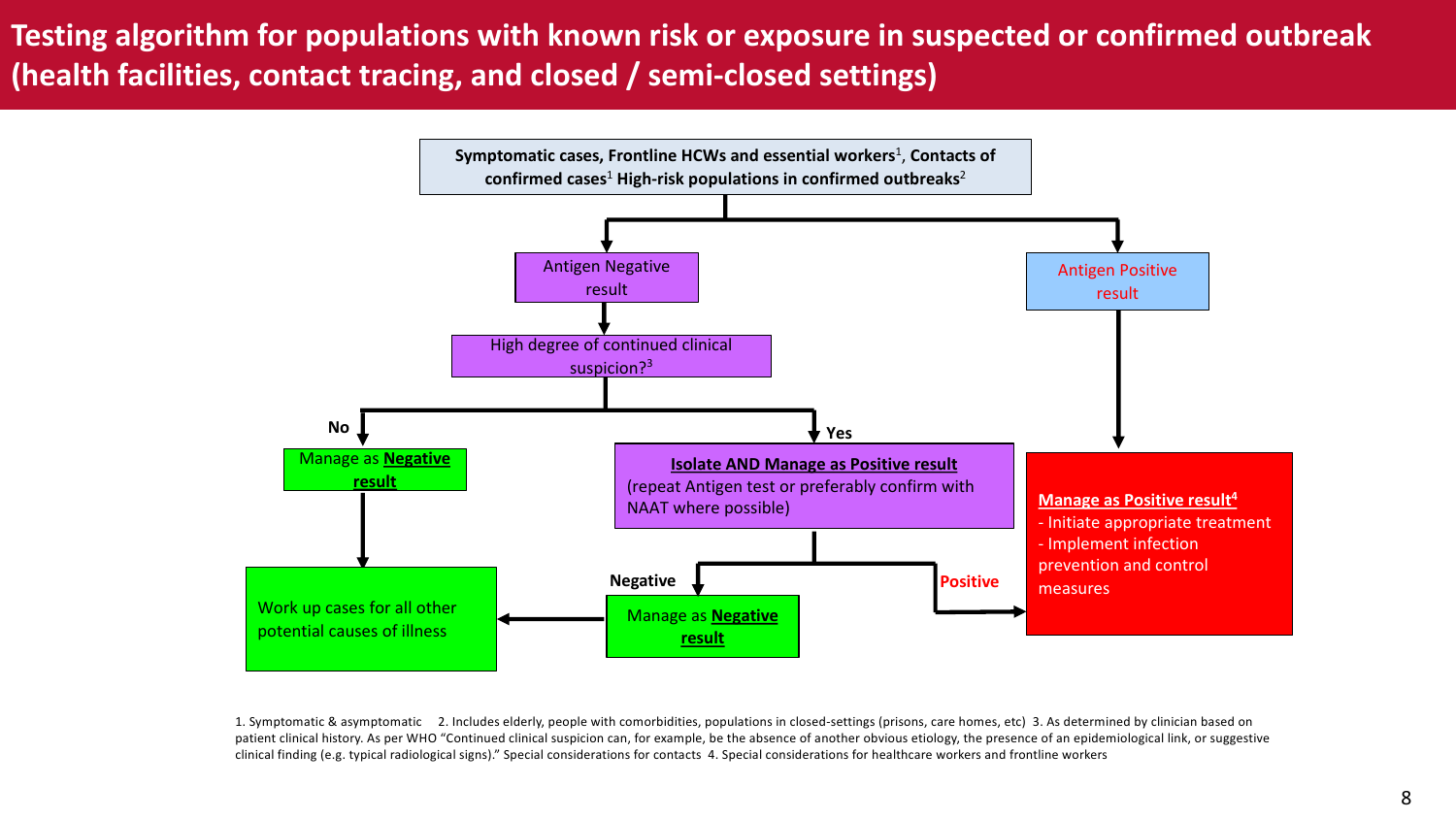#### **Testing algorithm for populations with known risk or exposure in suspected or confirmed outbreak (health facilities, contact tracing, and closed / semi-closed settings)**



1. Symptomatic & asymptomatic 2. Includes elderly, people with comorbidities, populations in closed-settings (prisons, care homes, etc) 3. As determined by clinician based on patient clinical history. As per WHO "Continued clinical suspicion can, for example, be the absence of another obvious etiology, the presence of an epidemiological link, or suggestive clinical finding (e.g. typical radiological signs)." Special considerations for contacts 4. Special considerations for healthcare workers and frontline workers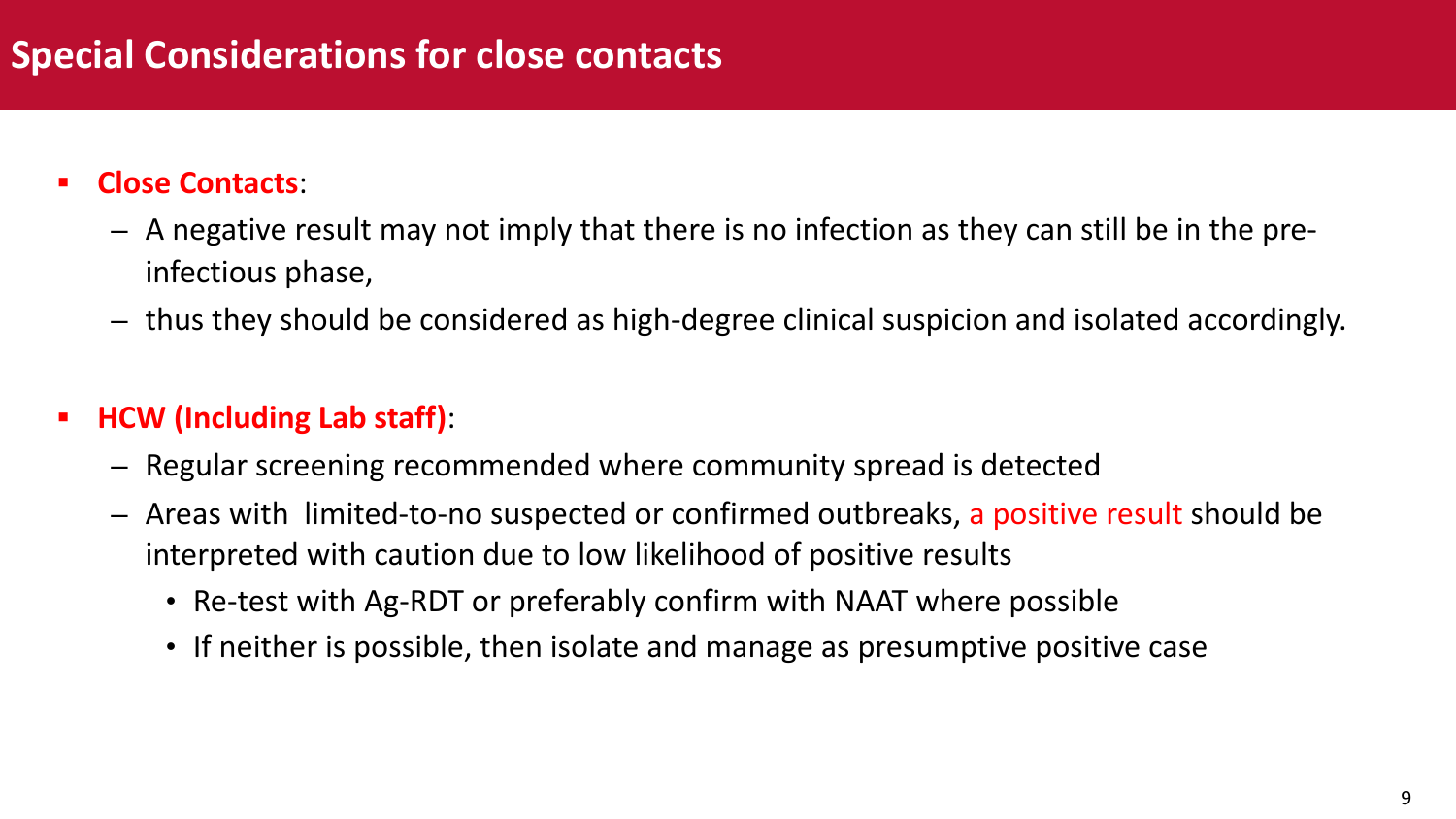### **Special Considerations for close contacts**

#### § **Close Contacts**:

- A negative result may not imply that there is no infection as they can still be in the preinfectious phase,
- thus they should be considered as high-degree clinical suspicion and isolated accordingly.

#### § **HCW (Including Lab staff)**:

- Regular screening recommended where community spread is detected
- Areas with limited-to-no suspected or confirmed outbreaks, a positive result should be interpreted with caution due to low likelihood of positive results
	- Re-test with Ag-RDT or preferably confirm with NAAT where possible
	- If neither is possible, then isolate and manage as presumptive positive case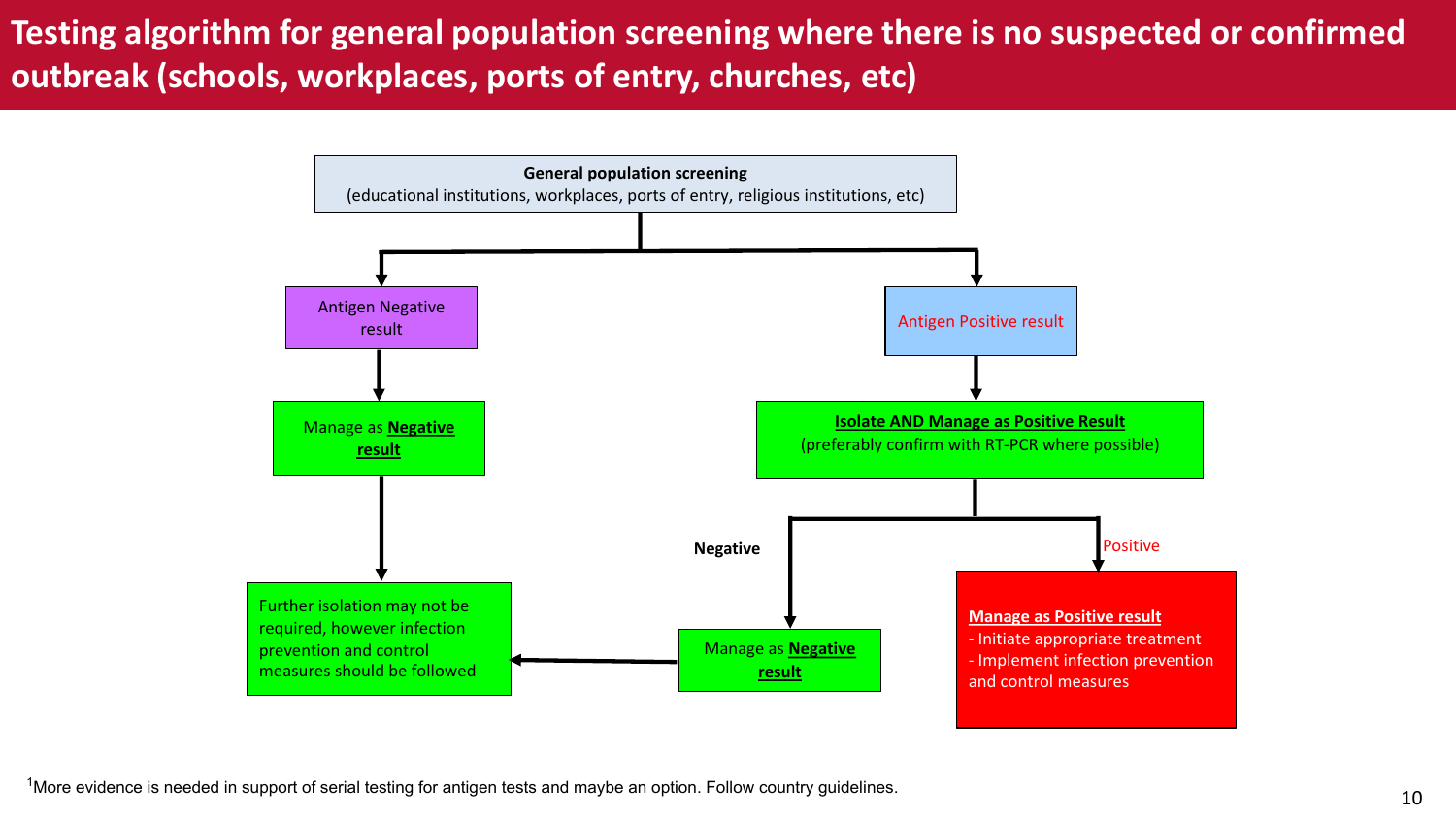#### **Testing algorithm for general population screening where there is no suspected or confirmed outbreak (schools, workplaces, ports of entry, churches, etc)**

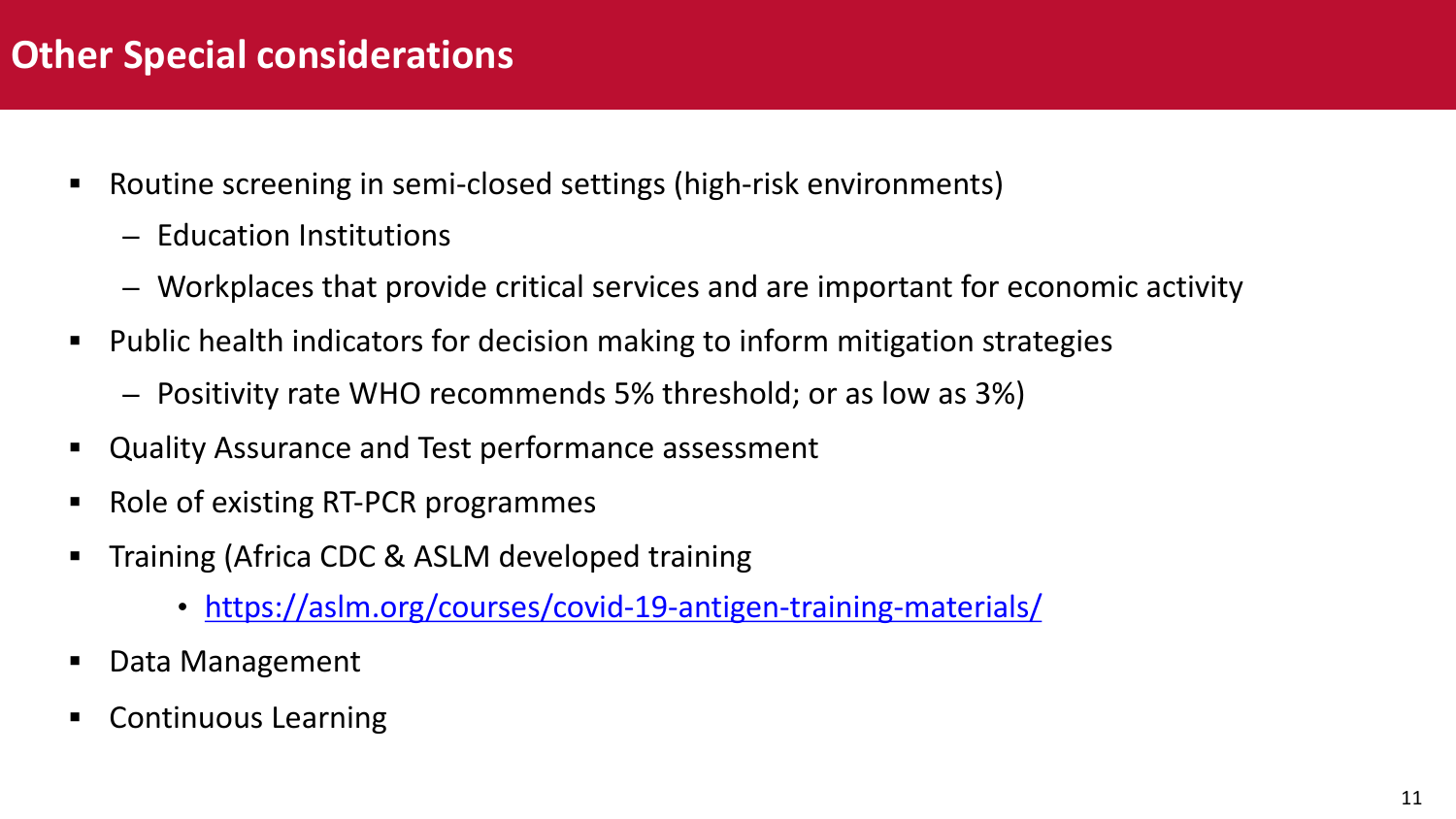### **Other Special considerations**

- Routine screening in semi-closed settings (high-risk environm
	- E[ducation Institutions](https://aslm.org/courses/covid-19-antigen-training-materials/)
	- Workplaces that provide critical services and are importa
- Public health indicators for decision making to inform mitigat
	- Positivity rate WHO recommends 5% threshold; or as low
- § Quality Assurance and Test performance assessment
- § Role of existing RT-PCR programmes
- **F** Training (Africa CDC & ASLM developed training
	- https://aslm.org/courses/covid-19-antigen-training-m
- Data Management
- § Continuous Learning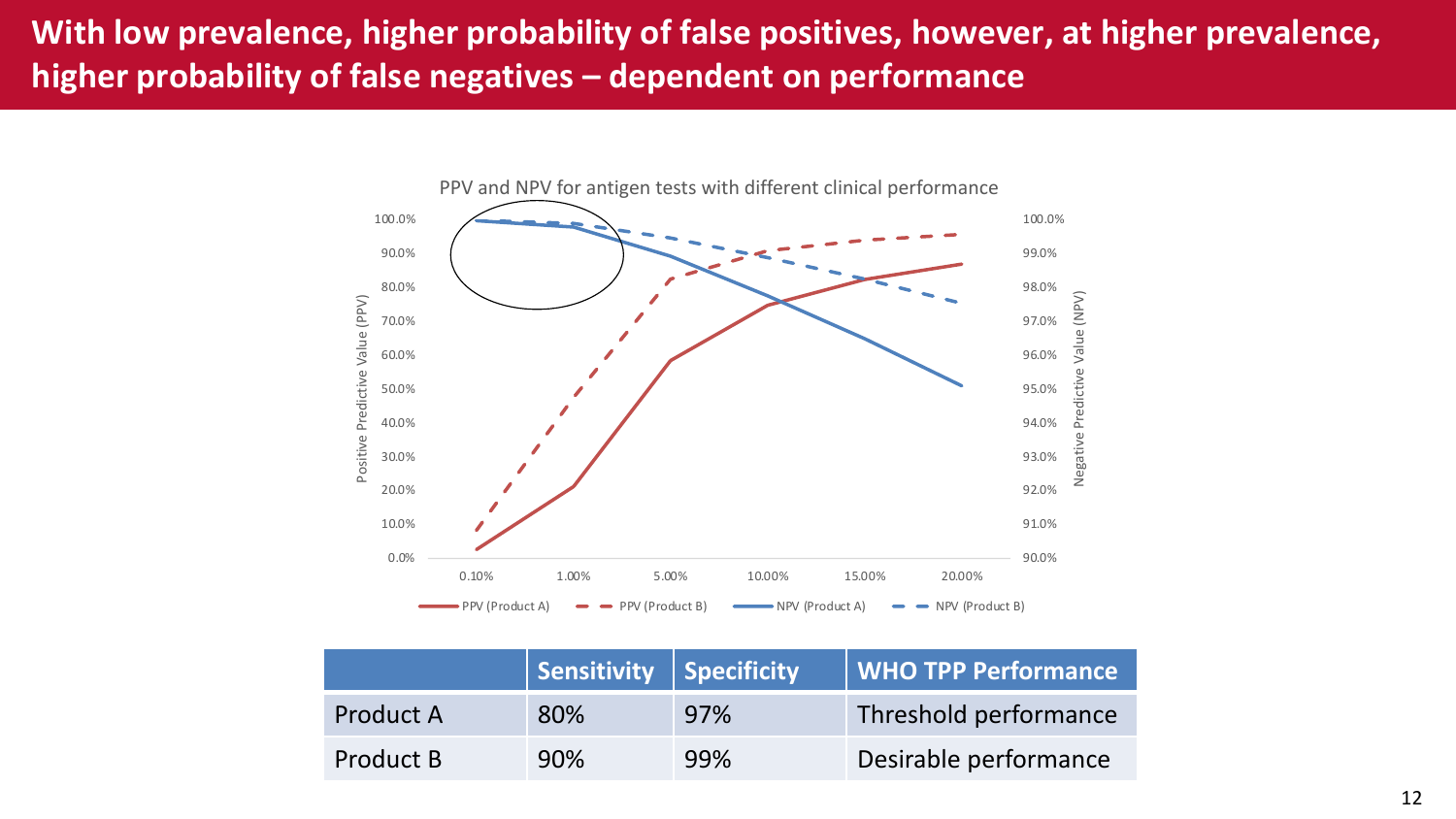#### **With low prevalence, higher probability of false positives, however, at higher prevalence, higher probability of false negatives – dependent on performance**



|           | Sensitivity Specificity |     | <b>WHO TPP Performance</b> |
|-----------|-------------------------|-----|----------------------------|
| Product A | 80%                     | 97% | Threshold performance      |
| Product B | 90%                     | 99% | Desirable performance      |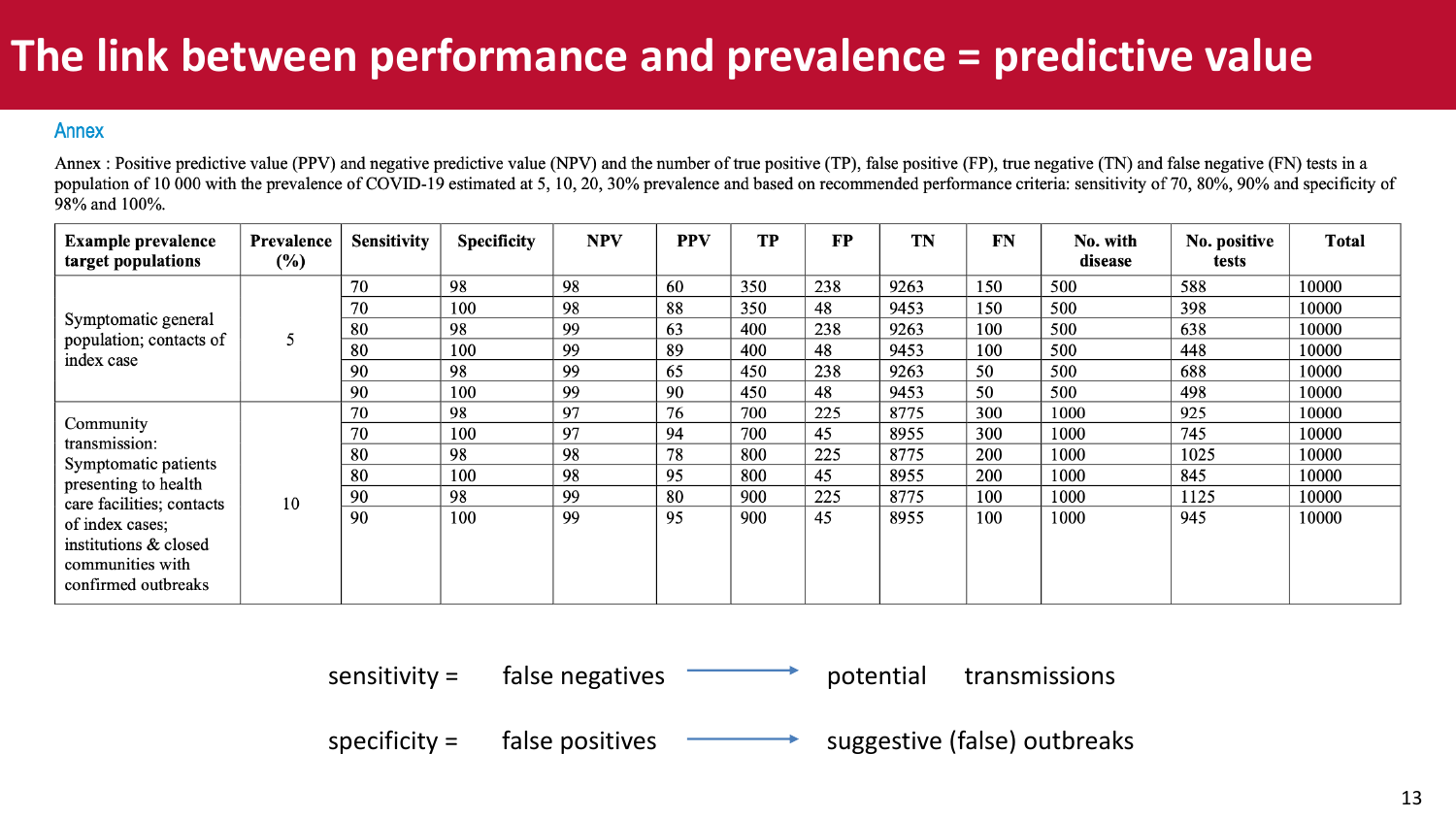## **The link between performance and prevalence = predictive value**

#### **Annex**

Annex : Positive predictive value (PPV) and negative predictive value (NPV) and the number of true positive (TP), false positive (FP), true negative (TN) and false negative (FN) tests in a population of 10 000 with the prevalence of COVID-19 estimated at 5, 10, 20, 30% prevalence and based on recommended performance criteria: sensitivity of 70, 80%, 90% and specificity of 98% and 100%.

| <b>Example prevalence</b><br>target populations                                     | Prevalence<br>$(\%)$ | <b>Sensitivity</b> | <b>Specificity</b> | <b>NPV</b> | <b>PPV</b> | <b>TP</b> | <b>FP</b> | <b>TN</b> | <b>FN</b> | No. with<br>disease | No. positive<br>tests | <b>Total</b> |
|-------------------------------------------------------------------------------------|----------------------|--------------------|--------------------|------------|------------|-----------|-----------|-----------|-----------|---------------------|-----------------------|--------------|
| Symptomatic general                                                                 |                      | 70                 | 98                 | 98         | 60         | 350       | 238       | 9263      | 150       | 500                 | 588                   | 10000        |
|                                                                                     |                      | 70                 | 100                | 98         | 88         | 350       | 48        | 9453      | 150       | 500                 | 398                   | 10000        |
|                                                                                     |                      | 80                 | 98                 | 99         | 63         | 400       | 238       | 9263      | 100       | 500                 | 638                   | 10000        |
| population; contacts of                                                             |                      | 80                 | 100                | 99         | 89         | 400       | 48        | 9453      | 100       | 500                 | 448                   | 10000        |
| index case                                                                          |                      | 90                 | 98                 | 99         | 65         | 450       | 238       | 9263      | 50        | 500                 | 688                   | 10000        |
|                                                                                     |                      | 90                 | 100                | 99         | 90         | 450       | 48        | 9453      | 50        | 500                 | 498                   | 10000        |
|                                                                                     | 10                   | 70                 | 98                 | 97         | 76         | 700       | 225       | 8775      | 300       | 1000                | 925                   | 10000        |
| Community                                                                           |                      | 70                 | 100                | 97         | 94         | 700       | 45        | 8955      | 300       | 1000                | 745                   | 10000        |
| transmission:<br>Symptomatic patients                                               |                      | 80                 | 98                 | 98         | 78         | 800       | 225       | 8775      | 200       | 1000                | 1025                  | 10000        |
| presenting to health                                                                |                      | 80                 | 100                | 98         | 95         | 800       | 45        | 8955      | 200       | 1000                | 845                   | 10000        |
| care facilities; contacts                                                           |                      | 90                 | 98                 | 99         | 80         | 900       | 225       | 8775      | 100       | 1000                | 1125                  | 10000        |
| of index cases;<br>institutions & closed<br>communities with<br>confirmed outbreaks |                      | 90                 | 100                | 99         | 95         | 900       | 45        | 8955      | 100       | 1000                | 945                   | 10000        |

sensitivity =  $\qquad$  false negatives potential transmissions

specificity  $=$  false positives suggestive (false) outbreaks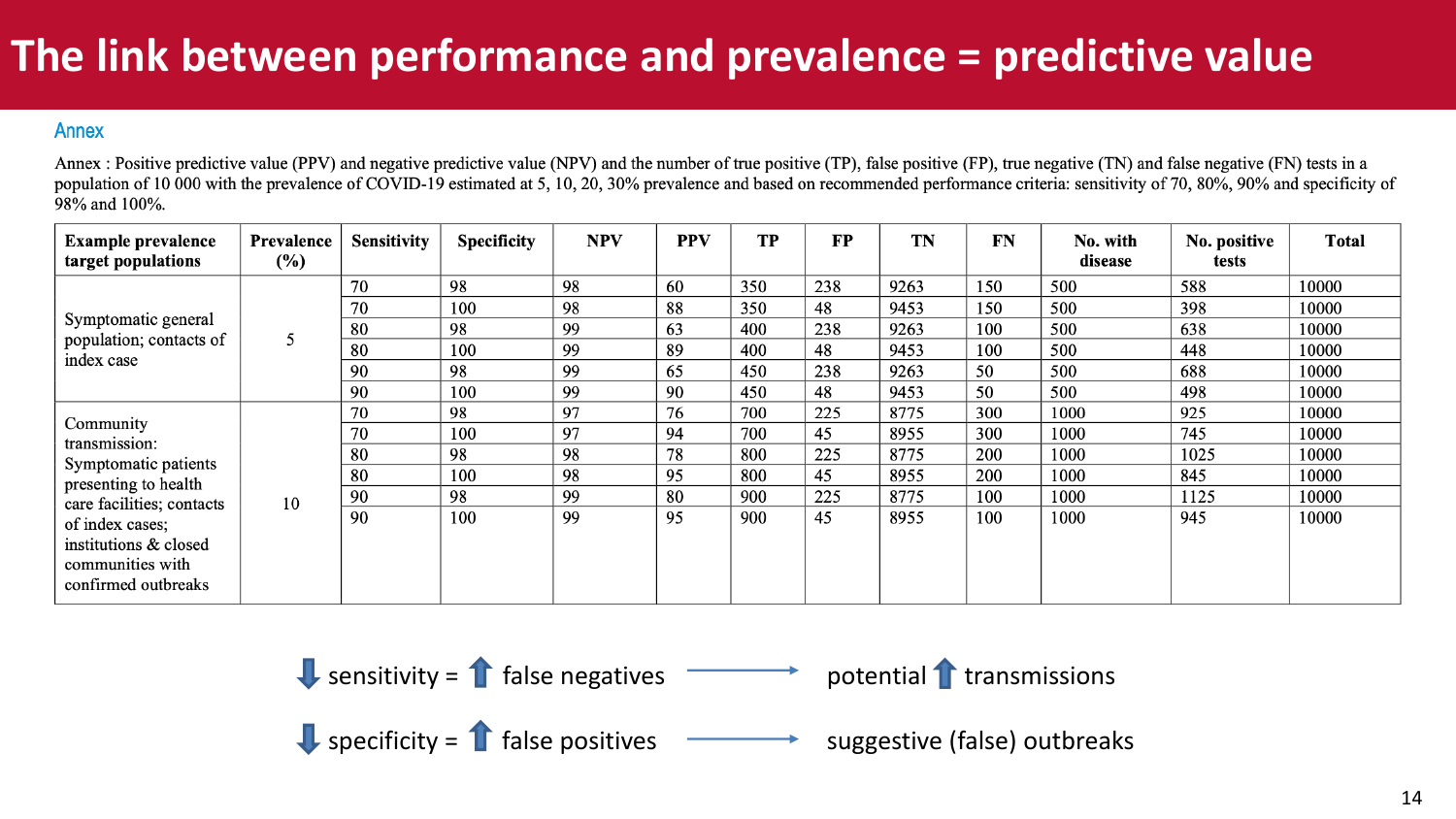## **The link between performance and prevalence = predictive value**

#### **Annex**

Annex : Positive predictive value (PPV) and negative predictive value (NPV) and the number of true positive (TP), false positive (FP), true negative (TN) and false negative (FN) tests in a population of 10 000 with the prevalence of COVID-19 estimated at 5, 10, 20, 30% prevalence and based on recommended performance criteria: sensitivity of 70, 80%, 90% and specificity of 98% and 100%.

| <b>Example prevalence</b><br>target populations                                     | Prevalence<br>$(\%)$ | <b>Sensitivity</b> | <b>Specificity</b> | <b>NPV</b> | <b>PPV</b> | <b>TP</b> | <b>FP</b> | <b>TN</b> | <b>FN</b> | No. with<br>disease | No. positive<br>tests | <b>Total</b> |
|-------------------------------------------------------------------------------------|----------------------|--------------------|--------------------|------------|------------|-----------|-----------|-----------|-----------|---------------------|-----------------------|--------------|
|                                                                                     |                      | 70                 | 98                 | 98         | 60         | 350       | 238       | 9263      | 150       | 500                 | 588                   | 10000        |
|                                                                                     |                      | 70                 | 100                | 98         | 88         | 350       | 48        | 9453      | 150       | 500                 | 398                   | 10000        |
| Symptomatic general                                                                 |                      | 80                 | 98                 | 99         | 63         | 400       | 238       | 9263      | 100       | 500                 | 638                   | 10000        |
| population; contacts of                                                             |                      | 80                 | 100                | 99         | 89         | 400       | 48        | 9453      | 100       | 500                 | 448                   | 10000        |
| index case                                                                          |                      | 90                 | 98                 | 99         | 65         | 450       | 238       | 9263      | 50        | 500                 | 688                   | 10000        |
|                                                                                     |                      | 90                 | 100                | 99         | 90         | 450       | 48        | 9453      | 50        | 500                 | 498                   | 10000        |
|                                                                                     | 10                   | 70                 | 98                 | 97         | 76         | 700       | 225       | 8775      | 300       | 1000                | 925                   | 10000        |
| Community                                                                           |                      | 70                 | 100                | 97         | 94         | 700       | 45        | 8955      | 300       | 1000                | 745                   | 10000        |
| transmission:<br>Symptomatic patients                                               |                      | 80                 | 98                 | 98         | 78         | 800       | 225       | 8775      | 200       | 1000                | 1025                  | 10000        |
| presenting to health                                                                |                      | 80                 | 100                | 98         | 95         | 800       | 45        | 8955      | 200       | 1000                | 845                   | 10000        |
| care facilities; contacts                                                           |                      | 90                 | 98                 | 99         | 80         | 900       | 225       | 8775      | 100       | 1000                | 1125                  | 10000        |
| of index cases;<br>institutions & closed<br>communities with<br>confirmed outbreaks |                      | 90                 | 100                | 99         | 95         | 900       | 45        | 8955      | 100       | 1000                | 945                   | 10000        |

**Q** sensitivity = 
$$
\uparrow
$$
 false negatives

 $\bigcup$  specificity =  $\bigcap$  false positives

suggestive (false) outbreaks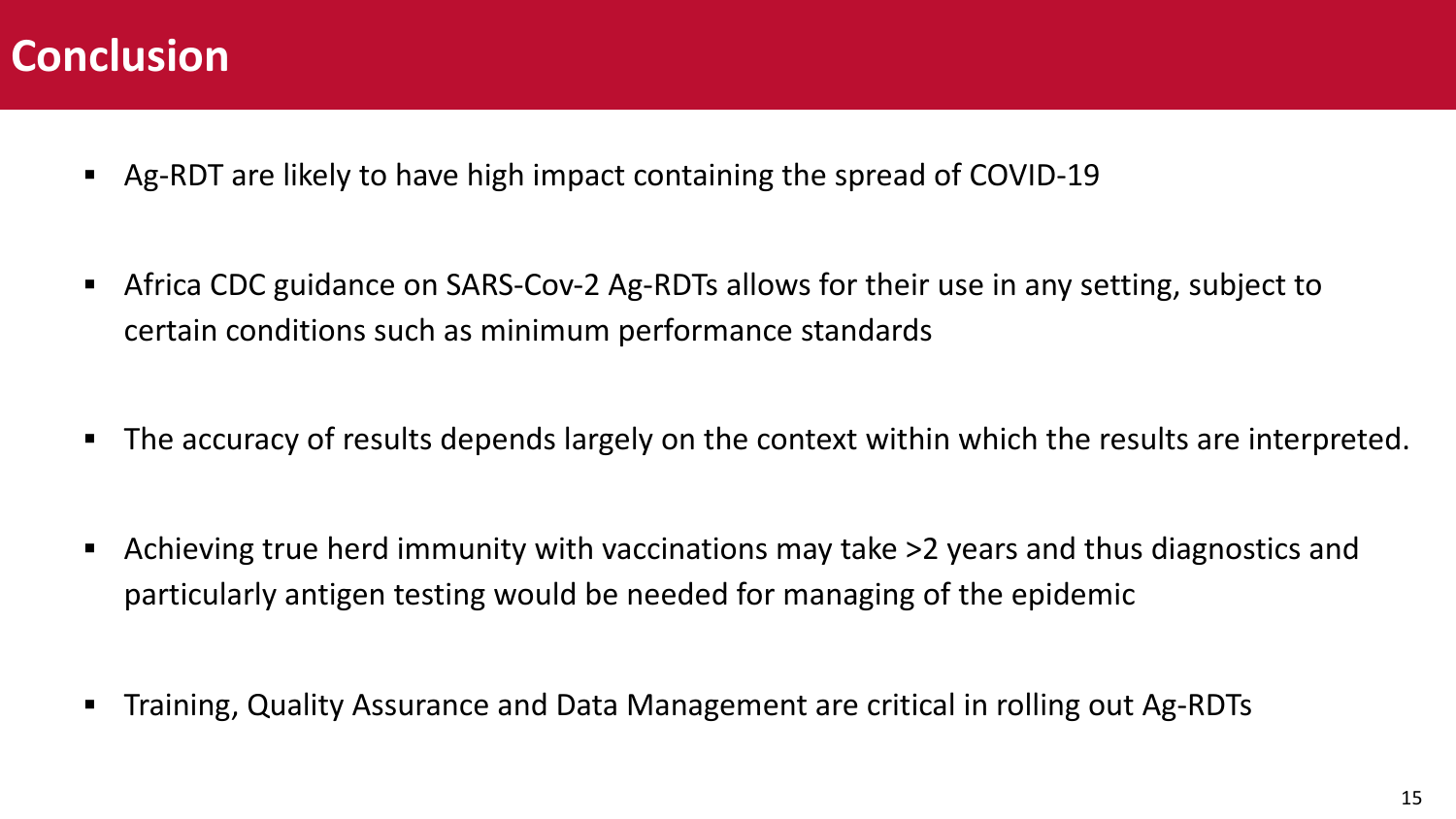### **Conclusion**

- § Ag-RDT are likely to have high impact containing the spread of COVID-19
- Africa CDC guidance on SARS-Cov-2 Ag-RDTs allows for their use in any setting, subject to certain conditions such as minimum performance standards
- The accuracy of results depends largely on the context within which the results are interpreted.
- Achieving true herd immunity with vaccinations may take >2 years and thus diagnostics and particularly antigen testing would be needed for managing of the epidemic
- Training, Quality Assurance and Data Management are critical in rolling out Ag-RDTs